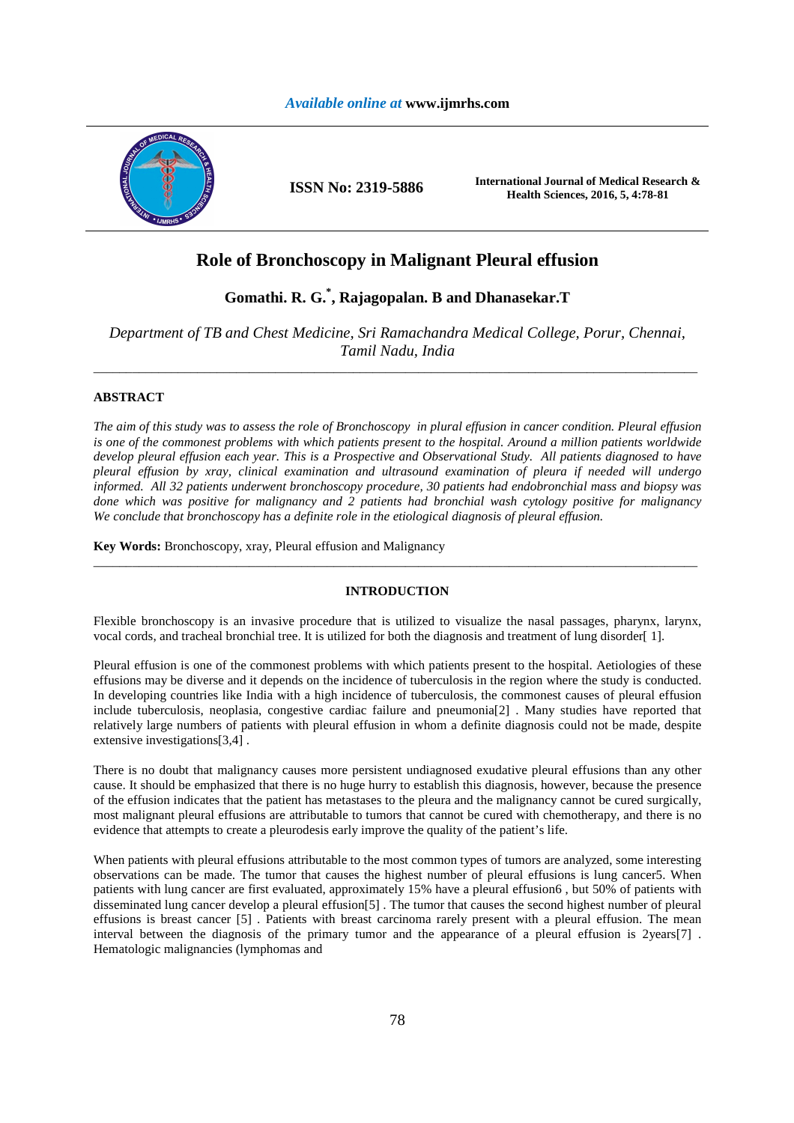

# **Role of Bronchoscopy in Malignant Pleural effusion**

# **Gomathi. R. G.\* , Rajagopalan. B and Dhanasekar.T**

*Department of TB and Chest Medicine, Sri Ramachandra Medical College, Porur, Chennai, Tamil Nadu, India*  \_\_\_\_\_\_\_\_\_\_\_\_\_\_\_\_\_\_\_\_\_\_\_\_\_\_\_\_\_\_\_\_\_\_\_\_\_\_\_\_\_\_\_\_\_\_\_\_\_\_\_\_\_\_\_\_\_\_\_\_\_\_\_\_\_\_\_\_\_\_\_\_\_\_\_\_\_\_\_\_\_\_\_\_\_\_\_\_\_\_\_\_\_

## **ABSTRACT**

*The aim of this study was to assess the role of Bronchoscopy in plural effusion in cancer condition. Pleural effusion is one of the commonest problems with which patients present to the hospital. Around a million patients worldwide develop pleural effusion each year. This is a Prospective and Observational Study. All patients diagnosed to have pleural effusion by xray, clinical examination and ultrasound examination of pleura if needed will undergo informed. All 32 patients underwent bronchoscopy procedure, 30 patients had endobronchial mass and biopsy was done which was positive for malignancy and 2 patients had bronchial wash cytology positive for malignancy We conclude that bronchoscopy has a definite role in the etiological diagnosis of pleural effusion.* 

**Key Words:** Bronchoscopy, xray, Pleural effusion and Malignancy

## **INTRODUCTION**

\_\_\_\_\_\_\_\_\_\_\_\_\_\_\_\_\_\_\_\_\_\_\_\_\_\_\_\_\_\_\_\_\_\_\_\_\_\_\_\_\_\_\_\_\_\_\_\_\_\_\_\_\_\_\_\_\_\_\_\_\_\_\_\_\_\_\_\_\_\_\_\_\_\_\_\_\_\_\_\_\_\_\_\_\_\_\_\_\_\_\_\_\_

Flexible bronchoscopy is an invasive procedure that is utilized to visualize the nasal passages, pharynx, larynx, vocal cords, and tracheal bronchial tree. It is utilized for both the diagnosis and treatment of lung disorder[1].

Pleural effusion is one of the commonest problems with which patients present to the hospital. Aetiologies of these effusions may be diverse and it depends on the incidence of tuberculosis in the region where the study is conducted. In developing countries like India with a high incidence of tuberculosis, the commonest causes of pleural effusion include tuberculosis, neoplasia, congestive cardiac failure and pneumonia[2] . Many studies have reported that relatively large numbers of patients with pleural effusion in whom a definite diagnosis could not be made, despite extensive investigations[3,4] .

There is no doubt that malignancy causes more persistent undiagnosed exudative pleural effusions than any other cause. It should be emphasized that there is no huge hurry to establish this diagnosis, however, because the presence of the effusion indicates that the patient has metastases to the pleura and the malignancy cannot be cured surgically, most malignant pleural effusions are attributable to tumors that cannot be cured with chemotherapy, and there is no evidence that attempts to create a pleurodesis early improve the quality of the patient's life.

When patients with pleural effusions attributable to the most common types of tumors are analyzed, some interesting observations can be made. The tumor that causes the highest number of pleural effusions is lung cancer5. When patients with lung cancer are first evaluated, approximately 15% have a pleural effusion6 , but 50% of patients with disseminated lung cancer develop a pleural effusion[5] . The tumor that causes the second highest number of pleural effusions is breast cancer [5] . Patients with breast carcinoma rarely present with a pleural effusion. The mean interval between the diagnosis of the primary tumor and the appearance of a pleural effusion is 2years[7] . Hematologic malignancies (lymphomas and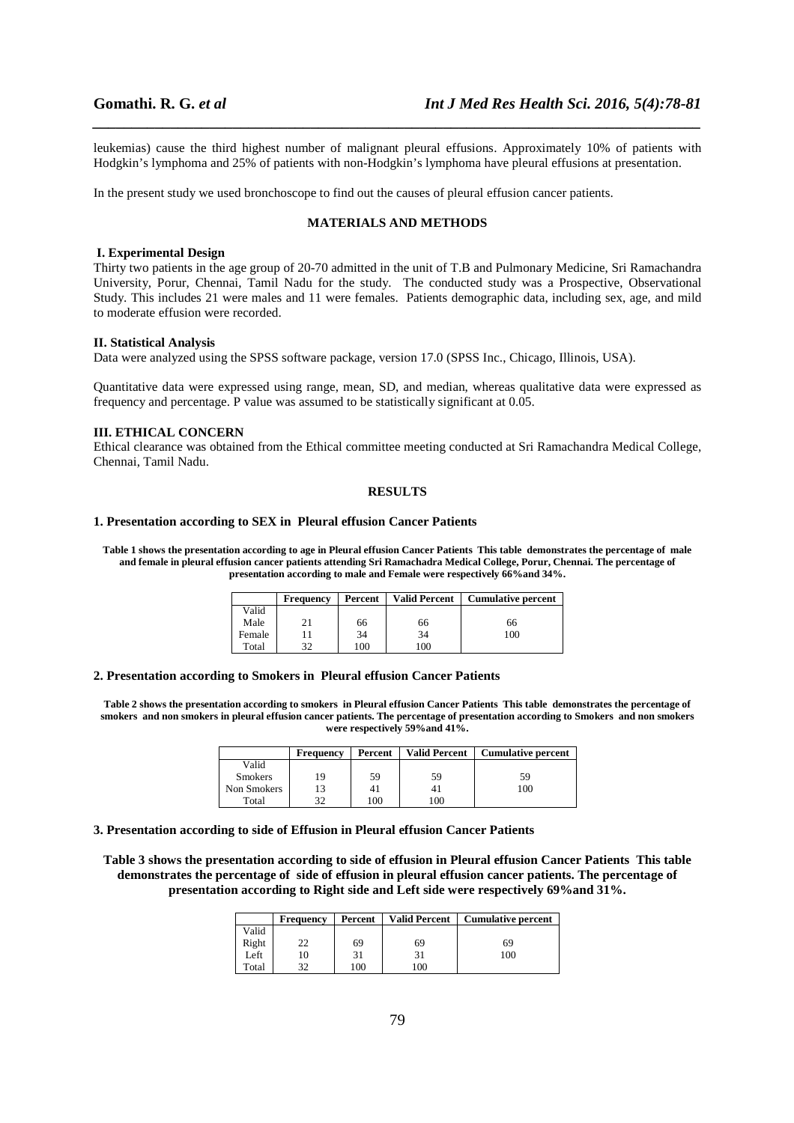leukemias) cause the third highest number of malignant pleural effusions. Approximately 10% of patients with Hodgkin's lymphoma and 25% of patients with non-Hodgkin's lymphoma have pleural effusions at presentation.

*\_\_\_\_\_\_\_\_\_\_\_\_\_\_\_\_\_\_\_\_\_\_\_\_\_\_\_\_\_\_\_\_\_\_\_\_\_\_\_\_\_\_\_\_\_\_\_\_\_\_\_\_\_\_\_\_\_\_\_\_\_\_\_\_\_\_\_\_\_\_\_\_\_\_\_\_\_\_*

In the present study we used bronchoscope to find out the causes of pleural effusion cancer patients.

#### **MATERIALS AND METHODS**

#### **I. Experimental Design**

Thirty two patients in the age group of 20-70 admitted in the unit of T.B and Pulmonary Medicine, Sri Ramachandra University, Porur, Chennai, Tamil Nadu for the study. The conducted study was a Prospective, Observational Study. This includes 21 were males and 11 were females. Patients demographic data, including sex, age, and mild to moderate effusion were recorded.

## **II. Statistical Analysis**

Data were analyzed using the SPSS software package, version 17.0 (SPSS Inc., Chicago, Illinois, USA).

Quantitative data were expressed using range, mean, SD, and median, whereas qualitative data were expressed as frequency and percentage. P value was assumed to be statistically significant at 0.05.

## **III. ETHICAL CONCERN**

Ethical clearance was obtained from the Ethical committee meeting conducted at Sri Ramachandra Medical College, Chennai, Tamil Nadu.

#### **RESULTS**

## **1. Presentation according to SEX in Pleural effusion Cancer Patients**

**Table 1 shows the presentation according to age in Pleural effusion Cancer Patients This table demonstrates the percentage of male and female in pleural effusion cancer patients attending Sri Ramachadra Medical College, Porur, Chennai. The percentage of presentation according to male and Female were respectively 66%and 34%.** 

|        | <b>Frequency</b> | Percent | <b>Valid Percent</b> | <b>Cumulative percent</b> |
|--------|------------------|---------|----------------------|---------------------------|
| Valid  |                  |         |                      |                           |
| Male   | 21               | 66      | 66                   | 66                        |
| Female |                  | 34      | 34                   | 100                       |
| Total  | 37               | 100     | .00                  |                           |

#### **2. Presentation according to Smokers in Pleural effusion Cancer Patients**

**Table 2 shows the presentation according to smokers in Pleural effusion Cancer Patients This table demonstrates the percentage of smokers and non smokers in pleural effusion cancer patients. The percentage of presentation according to Smokers and non smokers were respectively 59%and 41%.** 

|                | Frequency | Percent | <b>Valid Percent</b> | <b>Cumulative percent</b> |
|----------------|-----------|---------|----------------------|---------------------------|
| Valid          |           |         |                      |                           |
| <b>Smokers</b> | 19        | 59      | 59                   | 59                        |
| Non Smokers    |           | 41      |                      | 100                       |
| Total          | 30        | 100     | 100                  |                           |

#### **3. Presentation according to side of Effusion in Pleural effusion Cancer Patients**

**Table 3 shows the presentation according to side of effusion in Pleural effusion Cancer Patients This table demonstrates the percentage of side of effusion in pleural effusion cancer patients. The percentage of presentation according to Right side and Left side were respectively 69%and 31%.** 

|       | Frequency | Percent | <b>Valid Percent</b> | <b>Cumulative percent</b> |
|-------|-----------|---------|----------------------|---------------------------|
| Valid |           |         |                      |                           |
| Right | າາ        | 69      | 69                   | 69                        |
| Left  |           | 31      | 31                   | 100                       |
| Total | 20        | 100     | 100                  |                           |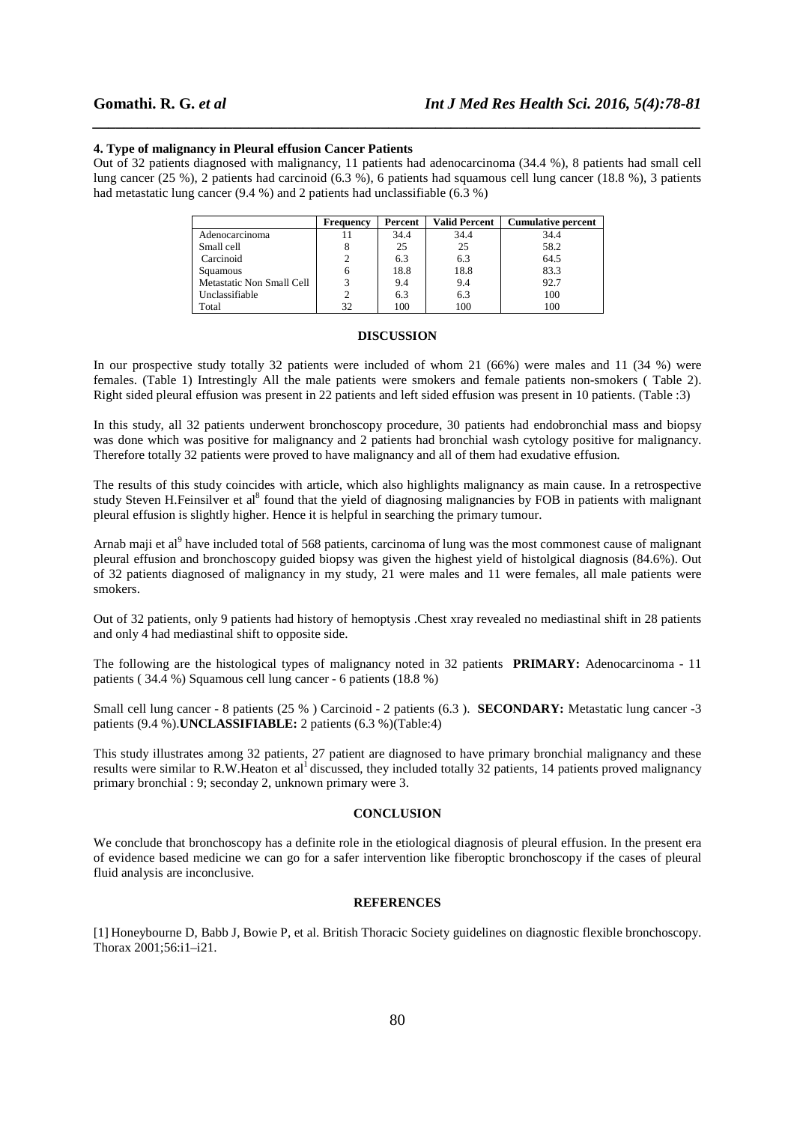### **4. Type of malignancy in Pleural effusion Cancer Patients**

Out of 32 patients diagnosed with malignancy, 11 patients had adenocarcinoma (34.4 %), 8 patients had small cell lung cancer (25 %), 2 patients had carcinoid (6.3 %), 6 patients had squamous cell lung cancer (18.8 %), 3 patients had metastatic lung cancer (9.4 %) and 2 patients had unclassifiable (6.3 %)

*\_\_\_\_\_\_\_\_\_\_\_\_\_\_\_\_\_\_\_\_\_\_\_\_\_\_\_\_\_\_\_\_\_\_\_\_\_\_\_\_\_\_\_\_\_\_\_\_\_\_\_\_\_\_\_\_\_\_\_\_\_\_\_\_\_\_\_\_\_\_\_\_\_\_\_\_\_\_*

|                           | Frequency | Percent | <b>Valid Percent</b> | <b>Cumulative percent</b> |
|---------------------------|-----------|---------|----------------------|---------------------------|
| Adenocarcinoma            |           | 34.4    | 34.4                 | 34.4                      |
| Small cell                |           | 25      | 25                   | 58.2                      |
| Carcinoid                 | 2         | 6.3     | 6.3                  | 64.5                      |
| Squamous                  | 6         | 18.8    | 18.8                 | 83.3                      |
| Metastatic Non Small Cell | 2         | 9.4     | 9.4                  | 92.7                      |
| Unclassifiable            |           | 6.3     | 6.3                  | 100                       |
| Total                     | 32        | 100     | 100                  | 100                       |

## **DISCUSSION**

In our prospective study totally 32 patients were included of whom 21 (66%) were males and 11 (34 %) were females. (Table 1) Intrestingly All the male patients were smokers and female patients non-smokers ( Table 2). Right sided pleural effusion was present in 22 patients and left sided effusion was present in 10 patients. (Table :3)

In this study, all 32 patients underwent bronchoscopy procedure, 30 patients had endobronchial mass and biopsy was done which was positive for malignancy and 2 patients had bronchial wash cytology positive for malignancy. Therefore totally 32 patients were proved to have malignancy and all of them had exudative effusion.

The results of this study coincides with article, which also highlights malignancy as main cause. In a retrospective study Steven H.Feinsilver et al<sup>8</sup> found that the yield of diagnosing malignancies by FOB in patients with malignant pleural effusion is slightly higher. Hence it is helpful in searching the primary tumour.

Arnab maji et al<sup>9</sup> have included total of 568 patients, carcinoma of lung was the most commonest cause of malignant pleural effusion and bronchoscopy guided biopsy was given the highest yield of histolgical diagnosis (84.6%). Out of 32 patients diagnosed of malignancy in my study, 21 were males and 11 were females, all male patients were smokers.

Out of 32 patients, only 9 patients had history of hemoptysis .Chest xray revealed no mediastinal shift in 28 patients and only 4 had mediastinal shift to opposite side.

The following are the histological types of malignancy noted in 32 patients **PRIMARY:** Adenocarcinoma - 11 patients ( 34.4 %) Squamous cell lung cancer - 6 patients (18.8 %)

Small cell lung cancer - 8 patients (25 % ) Carcinoid - 2 patients (6.3 ). **SECONDARY:** Metastatic lung cancer -3 patients (9.4 %).**UNCLASSIFIABLE:** 2 patients (6.3 %)(Table:4)

This study illustrates among 32 patients, 27 patient are diagnosed to have primary bronchial malignancy and these results were similar to R.W.Heaton et al<sup>1</sup> discussed, they included totally 32 patients, 14 patients proved malignancy primary bronchial : 9; seconday 2, unknown primary were 3.

## **CONCLUSION**

We conclude that bronchoscopy has a definite role in the etiological diagnosis of pleural effusion. In the present era of evidence based medicine we can go for a safer intervention like fiberoptic bronchoscopy if the cases of pleural fluid analysis are inconclusive.

## **REFERENCES**

[1] Honeybourne D, Babb J, Bowie P, et al. British Thoracic Society guidelines on diagnostic flexible bronchoscopy. Thorax 2001;56:i1–i21.